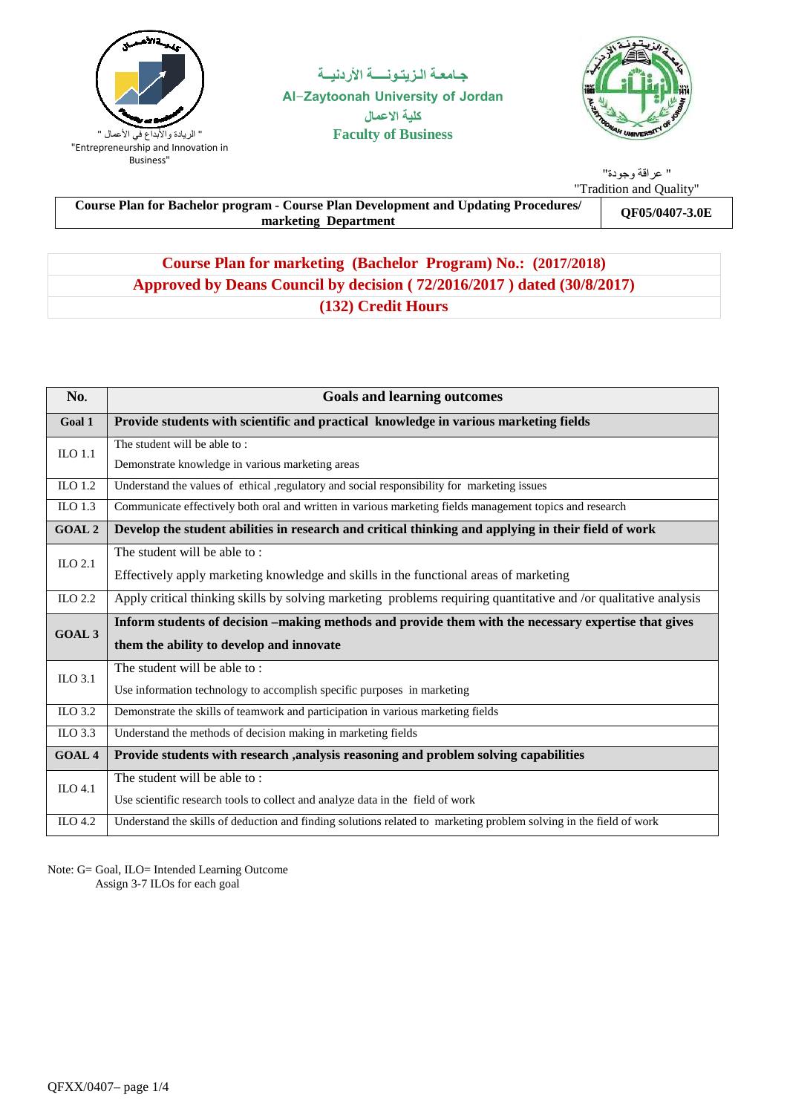

جـامعــة الـزيتــونـــــة الأردنيــة **Al-Zaytoonah University of Jordan ال Faculty of Business**



" عراقة وجودة" "Tradition and Quality"

**Course Plan for Bachelor program - Course Plan Development and Updating Procedures/ m** - Course Plan Development and Updating Procedures/<br>marketing Department

# **Course Plan for marketing (Bachelor Program) No.: (2017/2018) Approved by Deans Council by decision ( 72/2016/2017 ) dated (30/8/2017) (132) Credit Hours**

| No.                  | <b>Goals and learning outcomes</b>                                                                                 |  |  |  |  |  |  |
|----------------------|--------------------------------------------------------------------------------------------------------------------|--|--|--|--|--|--|
| Goal 1               | Provide students with scientific and practical knowledge in various marketing fields                               |  |  |  |  |  |  |
| $_{\text{ILO}}$ 1.1  | The student will be able to:                                                                                       |  |  |  |  |  |  |
|                      | Demonstrate knowledge in various marketing areas                                                                   |  |  |  |  |  |  |
| ILO 1.2              | Understand the values of ethical ,regulatory and social responsibility for marketing issues                        |  |  |  |  |  |  |
| $\overline{L}$ O 1.3 | Communicate effectively both oral and written in various marketing fields management topics and research           |  |  |  |  |  |  |
| <b>GOAL 2</b>        | Develop the student abilities in research and critical thinking and applying in their field of work                |  |  |  |  |  |  |
| ILO $2.1$            | The student will be able to:                                                                                       |  |  |  |  |  |  |
|                      | Effectively apply marketing knowledge and skills in the functional areas of marketing                              |  |  |  |  |  |  |
| ILO $2.2$            | Apply critical thinking skills by solving marketing problems requiring quantitative and /or qualitative analysis   |  |  |  |  |  |  |
| <b>GOAL 3</b>        | Inform students of decision –making methods and provide them with the necessary expertise that gives               |  |  |  |  |  |  |
|                      | them the ability to develop and innovate                                                                           |  |  |  |  |  |  |
| ILO 3.1              | The student will be able to:                                                                                       |  |  |  |  |  |  |
|                      | Use information technology to accomplish specific purposes in marketing                                            |  |  |  |  |  |  |
| ILO 3.2              | Demonstrate the skills of teamwork and participation in various marketing fields                                   |  |  |  |  |  |  |
| ILO 3.3              | Understand the methods of decision making in marketing fields                                                      |  |  |  |  |  |  |
| <b>GOAL 4</b>        | Provide students with research , analysis reasoning and problem solving capabilities                               |  |  |  |  |  |  |
| ILO 4.1              | The student will be able to:                                                                                       |  |  |  |  |  |  |
|                      | Use scientific research tools to collect and analyze data in the field of work                                     |  |  |  |  |  |  |
| ILO 4.2              | Understand the skills of deduction and finding solutions related to marketing problem solving in the field of work |  |  |  |  |  |  |

Note: G= Goal, ILO= Intended Learning Outcome Assign 3-7 ILOs for each goal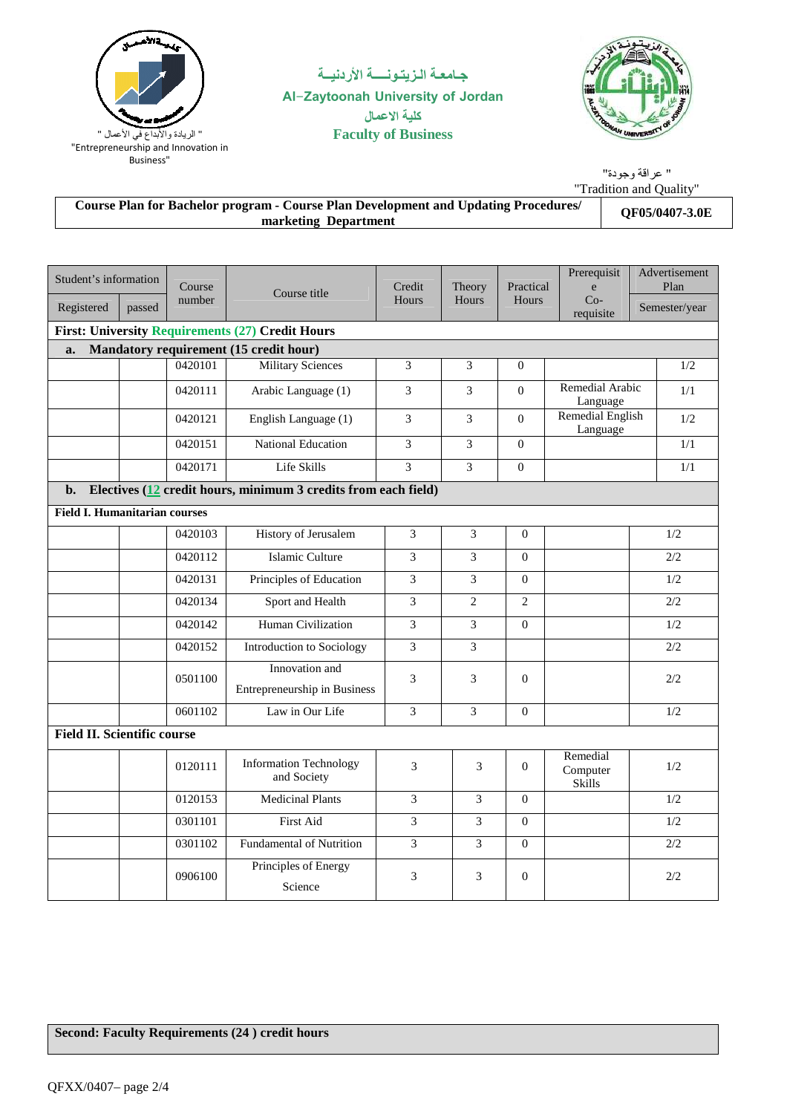

# جـامعــة الـزيتــونـــــة الأردنيــة **Al-Zaytoonah University of Jordan ال Faculty of Business**



|                                                                                                                    | " عر اقة و حو دة"       |
|--------------------------------------------------------------------------------------------------------------------|-------------------------|
|                                                                                                                    | "Tradition and Ouality" |
| <b>Course Plan for Bachelor program - Course Plan Development and Updating Procedures/</b><br>marketing Department | <b>QF05/0407-3.0E</b>   |

| Student's information<br>Registered  | passed                             | Course<br>number | Course title                                                   | Credit<br>Hours | Theory<br>Hours | Practical<br>Hours | Prerequisit<br>e<br>$Co-$<br>requisite | Advertisement<br>Plan<br>Semester/year |  |
|--------------------------------------|------------------------------------|------------------|----------------------------------------------------------------|-----------------|-----------------|--------------------|----------------------------------------|----------------------------------------|--|
|                                      |                                    |                  | <b>First: University Requirements (27) Credit Hours</b>        |                 |                 |                    |                                        |                                        |  |
| a.                                   |                                    |                  | Mandatory requirement (15 credit hour)                         |                 |                 |                    |                                        |                                        |  |
|                                      |                                    | 0420101          | <b>Military Sciences</b>                                       | 3               | 3               | $\Omega$           |                                        | 1/2                                    |  |
|                                      |                                    | 0420111          | Arabic Language (1)                                            | 3               | 3               | $\Omega$           | Remedial Arabic<br>Language            | 1/1                                    |  |
|                                      |                                    | 0420121          | English Language (1)                                           | 3               | 3               | $\Omega$           | Remedial English<br>Language           | 1/2                                    |  |
|                                      |                                    | 0420151          | National Education                                             | 3               | $\overline{3}$  | $\mathbf{0}$       |                                        | 1/1                                    |  |
|                                      |                                    | 0420171          | Life Skills                                                    | 3               | 3               | $\mathbf{0}$       |                                        | 1/1                                    |  |
| $\mathbf{b}$ .                       |                                    |                  | Electives (12 credit hours, minimum 3 credits from each field) |                 |                 |                    |                                        |                                        |  |
| <b>Field I. Humanitarian courses</b> |                                    |                  |                                                                |                 |                 |                    |                                        |                                        |  |
|                                      |                                    | 0420103          | History of Jerusalem                                           | 3               | 3               | $\mathbf{0}$       |                                        | 1/2                                    |  |
|                                      |                                    | 0420112          | Islamic Culture                                                | 3               | 3               | $\Omega$           |                                        | 2/2                                    |  |
|                                      |                                    | 0420131          | Principles of Education                                        | 3               | 3               | $\overline{0}$     |                                        | 1/2                                    |  |
|                                      |                                    | 0420134          | Sport and Health                                               | 3               | $\overline{c}$  | $\overline{2}$     |                                        | 2/2                                    |  |
|                                      |                                    | 0420142          | Human Civilization                                             | 3               | 3               | $\Omega$           |                                        | 1/2                                    |  |
|                                      |                                    | 0420152          | Introduction to Sociology                                      | 3               | 3               |                    |                                        | 2/2                                    |  |
|                                      |                                    | 0501100          | Innovation and<br>Entrepreneurship in Business                 | 3               | 3               | $\Omega$           |                                        | 2/2                                    |  |
|                                      |                                    | 0601102          | Law in Our Life                                                | 3               | 3               | $\Omega$           |                                        | 1/2                                    |  |
|                                      | <b>Field II. Scientific course</b> |                  |                                                                |                 |                 |                    |                                        |                                        |  |
|                                      |                                    | 0120111          | <b>Information Technology</b><br>and Society                   | $\overline{3}$  | 3               | $\overline{0}$     | Remedial<br>Computer<br>Skills         | 1/2                                    |  |
|                                      |                                    | 0120153          | <b>Medicinal Plants</b>                                        | 3               | 3               | $\Omega$           |                                        | 1/2                                    |  |
|                                      |                                    | 0301101          | First Aid                                                      | 3               | 3               | $\mathbf{0}$       |                                        | 1/2                                    |  |
|                                      |                                    | 0301102          | <b>Fundamental of Nutrition</b>                                | $\mathfrak{Z}$  | 3               | $\Omega$           |                                        | 2/2                                    |  |
|                                      |                                    | 0906100          | Principles of Energy<br>Science                                | 3               | 3               | $\overline{0}$     |                                        | 2/2                                    |  |

### **Second: Faculty Requirements (24 ) credit hours**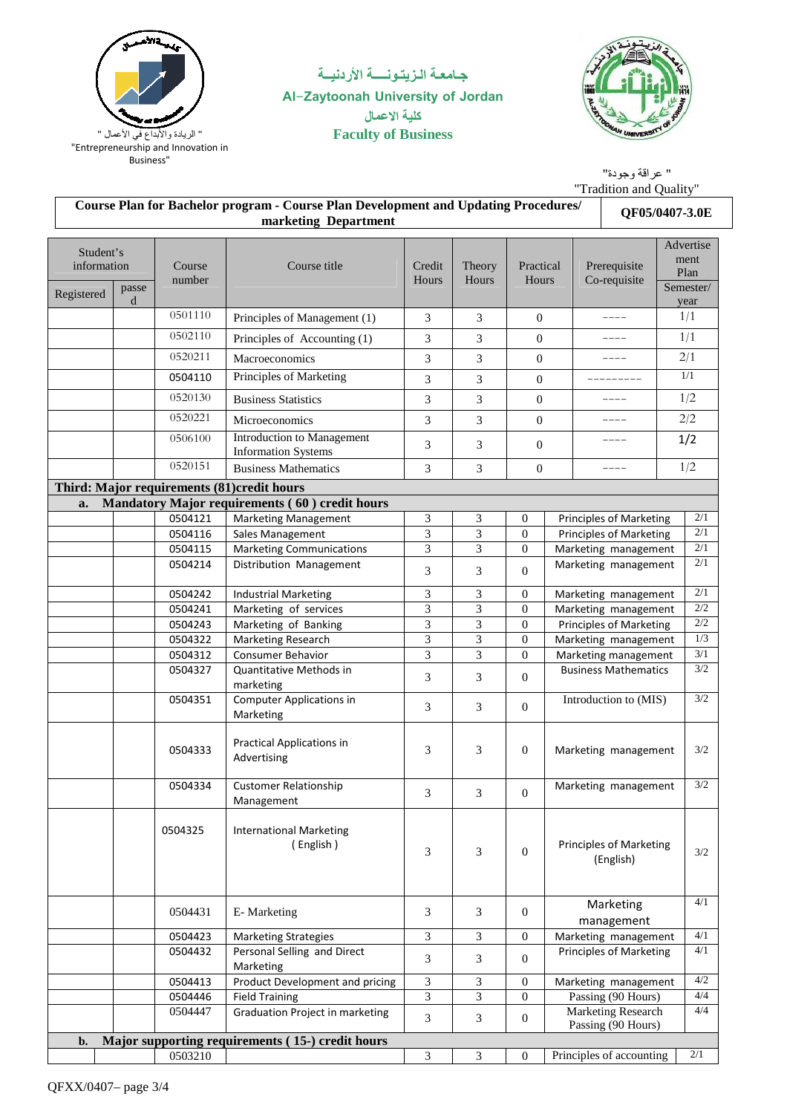

### جـامعــة الـزيتــونـــــة الأردنيــة **Al-Zaytoonah University of Jordan** كلية الاعمال **Faculty of Business**



" عراقة وجودة" "Tradition and Quality"

|                          | <b>Course Plan for Bachelor program - Course Plan Development and Updating Procedures/</b><br>QF05/0407-3.0E<br>marketing Department |                    |                                                            |                             |                 |                    |                                             |                                          |     |                           |  |     |
|--------------------------|--------------------------------------------------------------------------------------------------------------------------------------|--------------------|------------------------------------------------------------|-----------------------------|-----------------|--------------------|---------------------------------------------|------------------------------------------|-----|---------------------------|--|-----|
| Student's<br>information |                                                                                                                                      | Course<br>number   | Course title                                               | Credit<br>Hours             | Theory<br>Hours | Practical<br>Hours |                                             | Prerequisite<br>Co-requisite             |     | Advertise<br>ment<br>Plan |  |     |
| Registered               | passe<br>d                                                                                                                           |                    |                                                            |                             |                 |                    |                                             |                                          |     | Semester/<br>year         |  |     |
|                          |                                                                                                                                      | 0501110            | Principles of Management (1)                               | 3                           | 3               | $\boldsymbol{0}$   | $- - - -$                                   |                                          |     | 1/1                       |  |     |
|                          |                                                                                                                                      | 0502110            | Principles of Accounting (1)                               | 3                           | 3               | $\boldsymbol{0}$   |                                             | ----                                     |     |                           |  | 1/1 |
|                          |                                                                                                                                      | 0520211            | Macroeconomics                                             | $\ensuremath{\mathfrak{Z}}$ | 3               | $\boldsymbol{0}$   | ----                                        |                                          | 2/1 |                           |  |     |
|                          |                                                                                                                                      | 0504110            | Principles of Marketing                                    | 3                           | 3               | $\boldsymbol{0}$   | ----------                                  |                                          | 1/1 |                           |  |     |
|                          |                                                                                                                                      | 0520130            | <b>Business Statistics</b>                                 | 3                           | 3               | $\boldsymbol{0}$   | ----                                        |                                          | 1/2 |                           |  |     |
|                          |                                                                                                                                      | 0520221            |                                                            |                             |                 |                    | ----                                        |                                          | 2/2 |                           |  |     |
|                          |                                                                                                                                      | 0506100            | Microeconomics<br>Introduction to Management               | 3                           | 3               | $\mathbf{0}$       |                                             |                                          |     |                           |  |     |
|                          |                                                                                                                                      |                    | <b>Information Systems</b>                                 | 3                           | 3               | $\mathbf{0}$       |                                             | ----                                     | 1/2 |                           |  |     |
|                          |                                                                                                                                      | 0520151            | <b>Business Mathematics</b>                                | 3                           | 3               | $\mathbf{0}$       |                                             | ----                                     | 1/2 |                           |  |     |
|                          |                                                                                                                                      |                    | Third: Major requirements (81)credit hours                 |                             |                 |                    |                                             |                                          |     |                           |  |     |
| a.                       |                                                                                                                                      |                    | Mandatory Major requirements (60) credit hours             |                             |                 |                    |                                             |                                          |     |                           |  |     |
|                          |                                                                                                                                      | 0504121            | <b>Marketing Management</b>                                | 3                           | 3               | $\boldsymbol{0}$   |                                             | <b>Principles of Marketing</b>           |     | 2/1                       |  |     |
|                          |                                                                                                                                      | 0504116            | Sales Management                                           | 3                           | 3               | $\mathbf{0}$       |                                             | <b>Principles of Marketing</b>           |     | 2/1                       |  |     |
|                          |                                                                                                                                      | 0504115            | <b>Marketing Communications</b>                            | 3                           | 3               | $\theta$           |                                             | Marketing management                     |     | 2/1                       |  |     |
|                          |                                                                                                                                      | 0504214            | Distribution Management                                    | 3                           | 3               | $\mathbf{0}$       | Marketing management                        |                                          |     | 2/1                       |  |     |
|                          |                                                                                                                                      | 0504242            | <b>Industrial Marketing</b>                                | 3                           | 3               | $\theta$           | Marketing management                        |                                          |     | $2/1$                     |  |     |
|                          |                                                                                                                                      | 0504241            | Marketing of services                                      | 3                           | 3               | $\theta$           | Marketing management                        |                                          |     | $2/2\,$                   |  |     |
|                          |                                                                                                                                      | 0504243            | Marketing of Banking                                       | 3                           | 3               | $\theta$           | <b>Principles of Marketing</b>              |                                          |     | $2/2\,$                   |  |     |
|                          |                                                                                                                                      | 0504322            | Marketing Research                                         | 3                           | 3               | $\theta$           | Marketing management                        |                                          |     | 1/3                       |  |     |
|                          |                                                                                                                                      | 0504312            | <b>Consumer Behavior</b>                                   | $\overline{\mathbf{3}}$     | 3               | $\mathbf{0}$       | Marketing management                        |                                          |     | 3/1                       |  |     |
|                          |                                                                                                                                      | 0504327            | Quantitative Methods in<br>marketing                       | 3                           | 3               | $\mathbf{0}$       | <b>Business Mathematics</b>                 |                                          |     | 3/2                       |  |     |
|                          |                                                                                                                                      | 0504351            | <b>Computer Applications in</b><br>Marketing               | 3                           | 3               | $\mathbf{0}$       | Introduction to (MIS)                       |                                          |     | 3/2                       |  |     |
|                          |                                                                                                                                      | 0504333            | <b>Practical Applications in</b><br>Advertising            | 3                           | 3               | $\mathbf{0}$       | Marketing management                        |                                          |     | 3/2                       |  |     |
|                          |                                                                                                                                      | 0504334            | <b>Customer Relationship</b><br>Management                 | 3                           | $\mathfrak{Z}$  | $\mathbf{0}$       | Marketing management                        |                                          |     | $3/2\,$                   |  |     |
|                          |                                                                                                                                      | 0504325            | <b>International Marketing</b><br>(English)                | 3                           | 3               | $\Omega$           | <b>Principles of Marketing</b><br>(English) |                                          |     | 3/2                       |  |     |
|                          |                                                                                                                                      | 0504431            | E-Marketing                                                | 3                           | 3               | $\mathbf{0}$       | Marketing                                   |                                          |     | 4/1                       |  |     |
|                          |                                                                                                                                      |                    |                                                            |                             | $\overline{3}$  | $\overline{0}$     |                                             | management<br>Marketing management       |     | 4/1                       |  |     |
|                          |                                                                                                                                      | 0504423<br>0504432 | <b>Marketing Strategies</b><br>Personal Selling and Direct | 3                           |                 |                    |                                             | <b>Principles of Marketing</b>           |     | 4/1                       |  |     |
|                          |                                                                                                                                      |                    | Marketing                                                  | $\sqrt{3}$                  | 3               | $\mathbf{0}$       |                                             |                                          |     |                           |  |     |
|                          |                                                                                                                                      | 0504413            | Product Development and pricing                            | 3                           | 3               | $\theta$           |                                             | Marketing management                     |     | 4/2                       |  |     |
|                          |                                                                                                                                      | 0504446            | <b>Field Training</b>                                      | 3                           | 3               | $\theta$           |                                             | Passing (90 Hours)                       |     | 4/4                       |  |     |
|                          |                                                                                                                                      | 0504447            | Graduation Project in marketing                            | 3                           | 3               | $\overline{0}$     |                                             | Marketing Research<br>Passing (90 Hours) |     | 4/4                       |  |     |
| b.                       |                                                                                                                                      |                    | Major supporting requirements (15-) credit hours           |                             |                 |                    |                                             |                                          |     |                           |  |     |
|                          |                                                                                                                                      | 0503210            |                                                            | 3                           | 3               | $\theta$           |                                             | Principles of accounting                 |     | $2/1$                     |  |     |